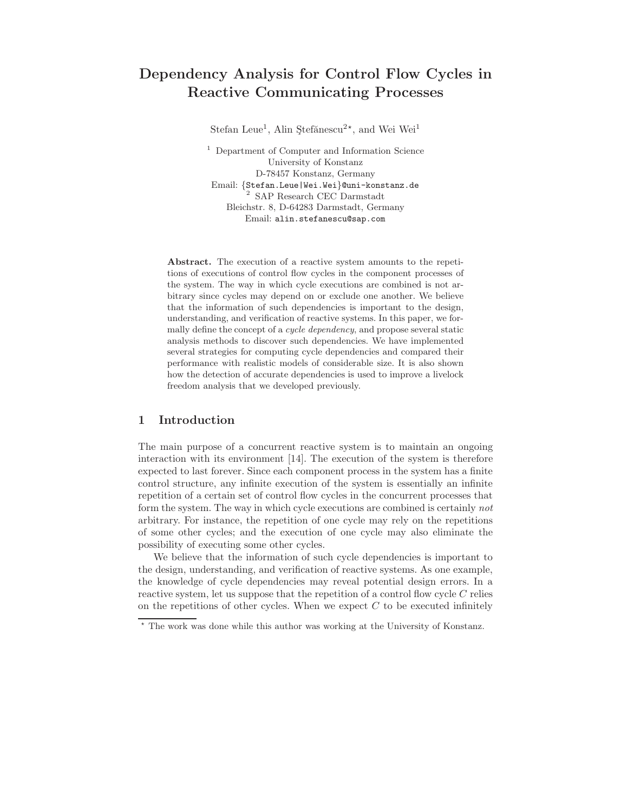# Dependency Analysis for Control Flow Cycles in Reactive Communicating Processes

Stefan Leue<sup>1</sup>, Alin Ştefănescu<sup>2\*</sup>, and Wei Wei<sup>1</sup>

<sup>1</sup> Department of Computer and Information Science University of Konstanz D-78457 Konstanz, Germany Email: {Stefan.Leue|Wei.Wei}@uni-konstanz.de <sup>2</sup> SAP Research CEC Darmstadt Bleichstr. 8, D-64283 Darmstadt, Germany Email: alin.stefanescu@sap.com

Abstract. The execution of a reactive system amounts to the repetitions of executions of control flow cycles in the component processes of the system. The way in which cycle executions are combined is not arbitrary since cycles may depend on or exclude one another. We believe that the information of such dependencies is important to the design, understanding, and verification of reactive systems. In this paper, we formally define the concept of a *cycle dependency*, and propose several static analysis methods to discover such dependencies. We have implemented several strategies for computing cycle dependencies and compared their performance with realistic models of considerable size. It is also shown how the detection of accurate dependencies is used to improve a livelock freedom analysis that we developed previously.

# 1 Introduction

The main purpose of a concurrent reactive system is to maintain an ongoing interaction with its environment [14]. The execution of the system is therefore expected to last forever. Since each component process in the system has a finite control structure, any infinite execution of the system is essentially an infinite repetition of a certain set of control flow cycles in the concurrent processes that form the system. The way in which cycle executions are combined is certainly not arbitrary. For instance, the repetition of one cycle may rely on the repetitions of some other cycles; and the execution of one cycle may also eliminate the possibility of executing some other cycles.

We believe that the information of such cycle dependencies is important to the design, understanding, and verification of reactive systems. As one example, the knowledge of cycle dependencies may reveal potential design errors. In a reactive system, let us suppose that the repetition of a control flow cycle  $C$  relies on the repetitions of other cycles. When we expect  $C$  to be executed infinitely

<sup>⋆</sup> The work was done while this author was working at the University of Konstanz.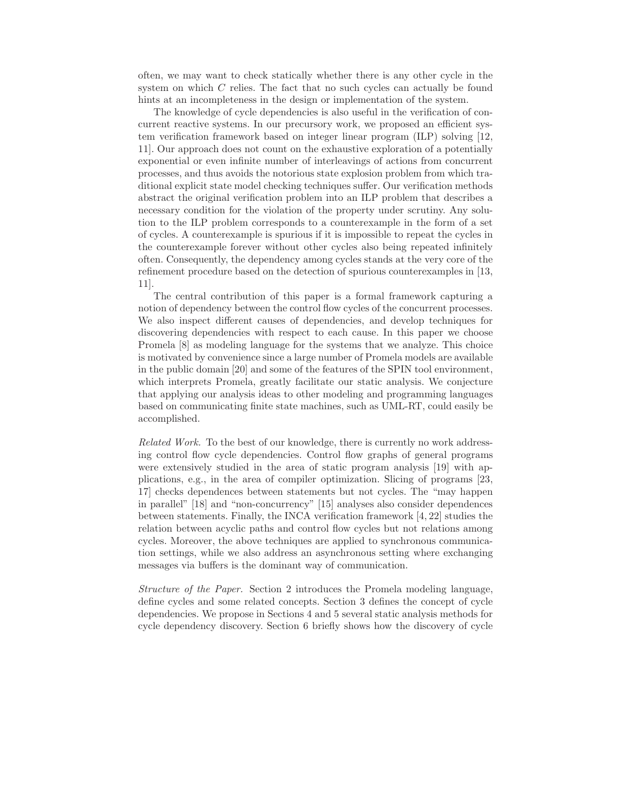often, we may want to check statically whether there is any other cycle in the system on which C relies. The fact that no such cycles can actually be found hints at an incompleteness in the design or implementation of the system.

The knowledge of cycle dependencies is also useful in the verification of concurrent reactive systems. In our precursory work, we proposed an efficient system verification framework based on integer linear program (ILP) solving [12, 11]. Our approach does not count on the exhaustive exploration of a potentially exponential or even infinite number of interleavings of actions from concurrent processes, and thus avoids the notorious state explosion problem from which traditional explicit state model checking techniques suffer. Our verification methods abstract the original verification problem into an ILP problem that describes a necessary condition for the violation of the property under scrutiny. Any solution to the ILP problem corresponds to a counterexample in the form of a set of cycles. A counterexample is spurious if it is impossible to repeat the cycles in the counterexample forever without other cycles also being repeated infinitely often. Consequently, the dependency among cycles stands at the very core of the refinement procedure based on the detection of spurious counterexamples in [13, 11].

The central contribution of this paper is a formal framework capturing a notion of dependency between the control flow cycles of the concurrent processes. We also inspect different causes of dependencies, and develop techniques for discovering dependencies with respect to each cause. In this paper we choose Promela [8] as modeling language for the systems that we analyze. This choice is motivated by convenience since a large number of Promela models are available in the public domain [20] and some of the features of the SPIN tool environment, which interprets Promela, greatly facilitate our static analysis. We conjecture that applying our analysis ideas to other modeling and programming languages based on communicating finite state machines, such as UML-RT, could easily be accomplished.

Related Work. To the best of our knowledge, there is currently no work addressing control flow cycle dependencies. Control flow graphs of general programs were extensively studied in the area of static program analysis [19] with applications, e.g., in the area of compiler optimization. Slicing of programs [23, 17] checks dependences between statements but not cycles. The "may happen in parallel" [18] and "non-concurrency" [15] analyses also consider dependences between statements. Finally, the INCA verification framework [4, 22] studies the relation between acyclic paths and control flow cycles but not relations among cycles. Moreover, the above techniques are applied to synchronous communication settings, while we also address an asynchronous setting where exchanging messages via buffers is the dominant way of communication.

Structure of the Paper. Section 2 introduces the Promela modeling language, define cycles and some related concepts. Section 3 defines the concept of cycle dependencies. We propose in Sections 4 and 5 several static analysis methods for cycle dependency discovery. Section 6 briefly shows how the discovery of cycle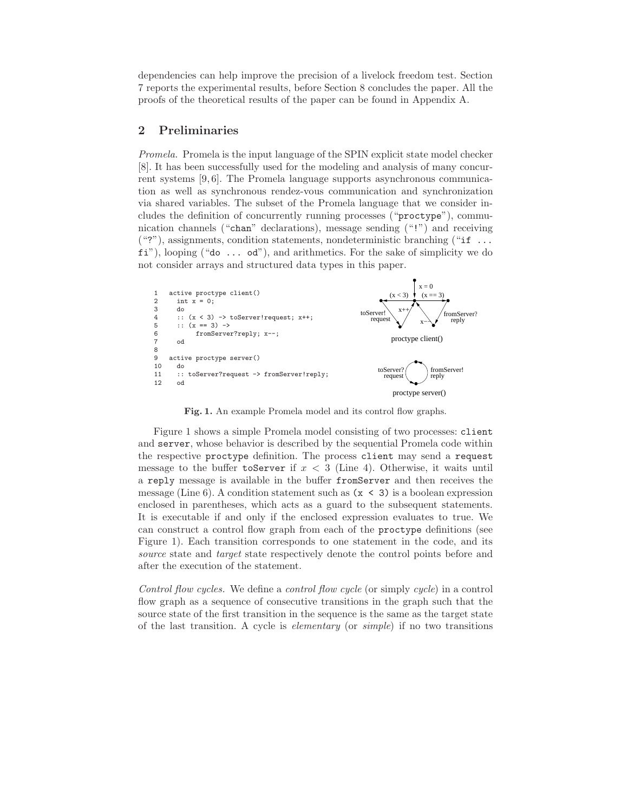dependencies can help improve the precision of a livelock freedom test. Section 7 reports the experimental results, before Section 8 concludes the paper. All the proofs of the theoretical results of the paper can be found in Appendix A.

# 2 Preliminaries

Promela. Promela is the input language of the SPIN explicit state model checker [8]. It has been successfully used for the modeling and analysis of many concurrent systems [9, 6]. The Promela language supports asynchronous communication as well as synchronous rendez-vous communication and synchronization via shared variables. The subset of the Promela language that we consider includes the definition of concurrently running processes ("proctype"), communication channels ("chan" declarations), message sending ("!") and receiving  $($ "?"), assignments, condition statements, nondeterministic branching  $($ "if ... fi"), looping ("do ... od"), and arithmetics. For the sake of simplicity we do not consider arrays and structured data types in this paper.



Fig. 1. An example Promela model and its control flow graphs.

Figure 1 shows a simple Promela model consisting of two processes: client and server, whose behavior is described by the sequential Promela code within the respective proctype definition. The process client may send a request message to the buffer to Server if  $x < 3$  (Line 4). Otherwise, it waits until a reply message is available in the buffer fromServer and then receives the message (Line 6). A condition statement such as  $(x < 3)$  is a boolean expression enclosed in parentheses, which acts as a guard to the subsequent statements. It is executable if and only if the enclosed expression evaluates to true. We can construct a control flow graph from each of the proctype definitions (see Figure 1). Each transition corresponds to one statement in the code, and its source state and target state respectively denote the control points before and after the execution of the statement.

Control flow cycles. We define a control flow cycle (or simply cycle) in a control flow graph as a sequence of consecutive transitions in the graph such that the source state of the first transition in the sequence is the same as the target state of the last transition. A cycle is elementary (or simple) if no two transitions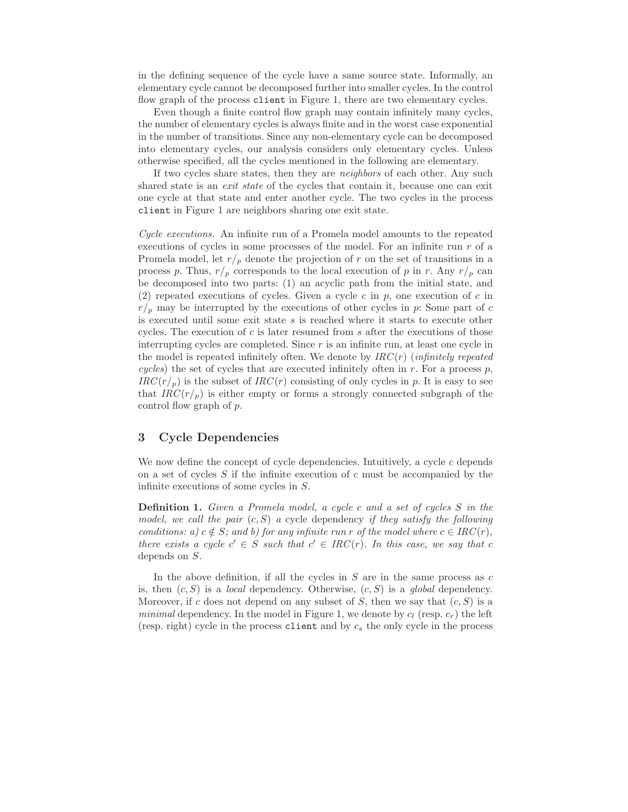in the defining sequence of the cycle have a same source state. Informally, an elementary cycle cannot be decomposed further into smaller cycles. In the control flow graph of the process client in Figure 1, there are two elementary cycles.

Even though a finite control flow graph may contain infinitely many cycles, the number of elementary cycles is always finite and in the worst case exponential in the number of transitions. Since any non-elementary cycle can be decomposed into elementary cycles, our analysis considers only elementary cycles. Unless otherwise specified, all the cycles mentioned in the following are elementary.

If two cycles share states, then they are neighbors of each other. Any such shared state is an *exit state* of the cycles that contain it, because one can exit one cycle at that state and enter another cycle. The two cycles in the process client in Figure 1 are neighbors sharing one exit state.

Cycle executions. An infinite run of a Promela model amounts to the repeated executions of cycles in some processes of the model. For an infinite run  $r$  of a Promela model, let  $r/p$  denote the projection of r on the set of transitions in a process p. Thus,  $r/p$  corresponds to the local execution of p in r. Any  $r/p$  can be decomposed into two parts: (1) an acyclic path from the initial state, and (2) repeated executions of cycles. Given a cycle  $c$  in  $p$ , one execution of  $c$  in  $r/p$  may be interrupted by the executions of other cycles in p: Some part of c is executed until some exit state s is reached where it starts to execute other cycles. The execution of  $c$  is later resumed from  $s$  after the executions of those interrupting cycles are completed. Since  $r$  is an infinite run, at least one cycle in the model is repeated infinitely often. We denote by  $IRC(r)$  (infinitely repeated cycles) the set of cycles that are executed infinitely often in  $r$ . For a process  $p$ ,  $\text{IRC}(r)_p$  is the subset of  $\text{IRC}(r)$  consisting of only cycles in p. It is easy to see that  $\text{IRC}(r/p)$  is either empty or forms a strongly connected subgraph of the control flow graph of  $p$ .

## 3 Cycle Dependencies

We now define the concept of cycle dependencies. Intuitively, a cycle  $c$  depends on a set of cycles  $S$  if the infinite execution of  $c$  must be accompanied by the infinite executions of some cycles in S.

Definition 1. Given a Promela model, a cycle c and a set of cycles S in the model, we call the pair  $(c, S)$  a cycle dependency if they satisfy the following conditions: a)  $c \notin S$ ; and b) for any infinite run r of the model where  $c \in \text{IRC}(r)$ , there exists a cycle  $c' \in S$  such that  $c' \in \text{IRC}(r)$ . In this case, we say that c depends on S.

In the above definition, if all the cycles in  $S$  are in the same process as  $c$ is, then  $(c, S)$  is a *local* dependency. Otherwise,  $(c, S)$  is a *global* dependency. Moreover, if c does not depend on any subset of S, then we say that  $(c, S)$  is a *minimal* dependency. In the model in Figure 1, we denote by  $c_l$  (resp.  $c_r$ ) the left (resp. right) cycle in the process client and by  $c_s$  the only cycle in the process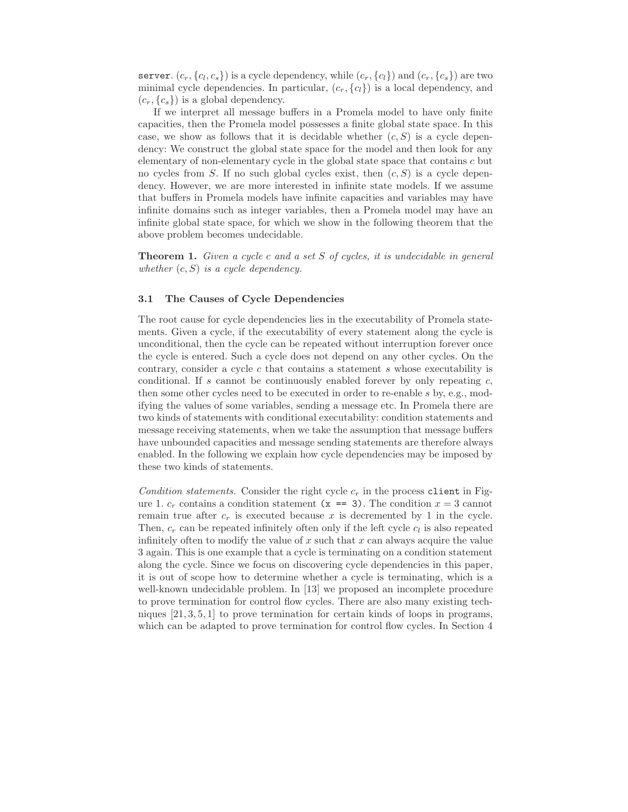server.  $(c_r, \{c_l, c_s\})$  is a cycle dependency, while  $(c_r, \{c_l\})$  and  $(c_r, \{c_s\})$  are two minimal cycle dependencies. In particular,  $(c_r, \{c_l\})$  is a local dependency, and  $(c_r, \{c_s\})$  is a global dependency.

If we interpret all message buffers in a Promela model to have only finite capacities, then the Promela model possesses a finite global state space. In this case, we show as follows that it is decidable whether  $(c, S)$  is a cycle dependency: We construct the global state space for the model and then look for any elementary of non-elementary cycle in the global state space that contains c but no cycles from S. If no such global cycles exist, then  $(c, S)$  is a cycle dependency. However, we are more interested in infinite state models. If we assume that buffers in Promela models have infinite capacities and variables may have infinite domains such as integer variables, then a Promela model may have an infinite global state space, for which we show in the following theorem that the above problem becomes undecidable.

**Theorem 1.** Given a cycle c and a set  $S$  of cycles, it is undecidable in general whether  $(c, S)$  is a cycle dependency.

#### 3.1 The Causes of Cycle Dependencies

The root cause for cycle dependencies lies in the executability of Promela statements. Given a cycle, if the executability of every statement along the cycle is unconditional, then the cycle can be repeated without interruption forever once the cycle is entered. Such a cycle does not depend on any other cycles. On the contrary, consider a cycle c that contains a statement s whose executability is conditional. If s cannot be continuously enabled forever by only repeating  $c$ , then some other cycles need to be executed in order to re-enable s by, e.g., modifying the values of some variables, sending a message etc. In Promela there are two kinds of statements with conditional executability: condition statements and message receiving statements, when we take the assumption that message buffers have unbounded capacities and message sending statements are therefore always enabled. In the following we explain how cycle dependencies may be imposed by these two kinds of statements.

Condition statements. Consider the right cycle  $c_r$  in the process client in Figure 1.  $c_r$  contains a condition statement (x = 3). The condition  $x = 3$  cannot remain true after  $c_r$  is executed because x is decremented by 1 in the cycle. Then,  $c_r$  can be repeated infinitely often only if the left cycle  $c_l$  is also repeated infinitely often to modify the value of  $x$  such that  $x$  can always acquire the value 3 again. This is one example that a cycle is terminating on a condition statement along the cycle. Since we focus on discovering cycle dependencies in this paper, it is out of scope how to determine whether a cycle is terminating, which is a well-known undecidable problem. In [13] we proposed an incomplete procedure to prove termination for control flow cycles. There are also many existing techniques  $[21, 3, 5, 1]$  to prove termination for certain kinds of loops in programs, which can be adapted to prove termination for control flow cycles. In Section 4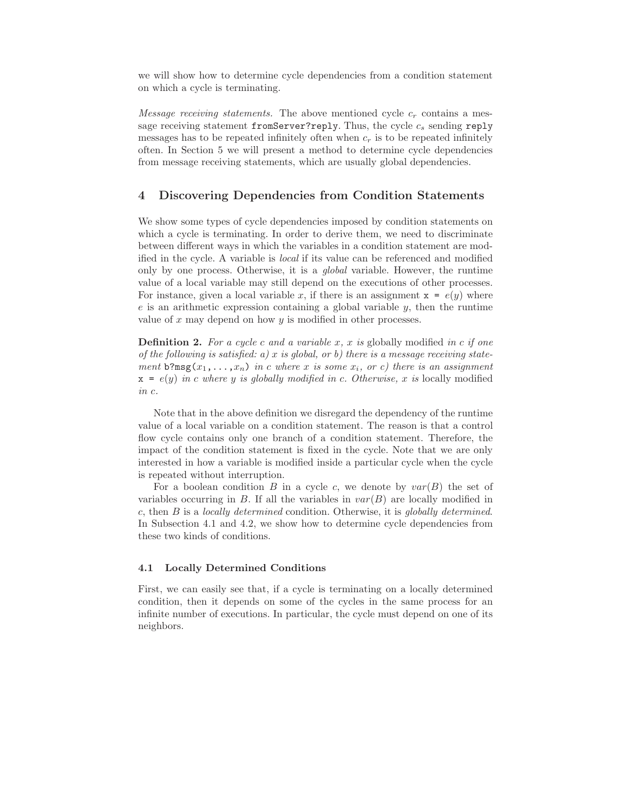we will show how to determine cycle dependencies from a condition statement on which a cycle is terminating.

*Message receiving statements.* The above mentioned cycle  $c_r$  contains a message receiving statement fromServer?reply. Thus, the cycle  $c_s$  sending reply messages has to be repeated infinitely often when  $c_r$  is to be repeated infinitely often. In Section 5 we will present a method to determine cycle dependencies from message receiving statements, which are usually global dependencies.

#### 4 Discovering Dependencies from Condition Statements

We show some types of cycle dependencies imposed by condition statements on which a cycle is terminating. In order to derive them, we need to discriminate between different ways in which the variables in a condition statement are modified in the cycle. A variable is local if its value can be referenced and modified only by one process. Otherwise, it is a global variable. However, the runtime value of a local variable may still depend on the executions of other processes. For instance, given a local variable x, if there is an assignment  $x = e(y)$  where  $e$  is an arithmetic expression containing a global variable  $y$ , then the runtime value of  $x$  may depend on how  $y$  is modified in other processes.

**Definition 2.** For a cycle c and a variable x, x is globally modified in c if one of the following is satisfied: a) x is global, or b) there is a message receiving statement  $\mathbf{b?msg}(x_1,\ldots,x_n)$  in c where x is some  $x_i$ , or c) there is an assignment  $x = e(y)$  in c where y is globally modified in c. Otherwise, x is locally modified in c.

Note that in the above definition we disregard the dependency of the runtime value of a local variable on a condition statement. The reason is that a control flow cycle contains only one branch of a condition statement. Therefore, the impact of the condition statement is fixed in the cycle. Note that we are only interested in how a variable is modified inside a particular cycle when the cycle is repeated without interruption.

For a boolean condition B in a cycle c, we denote by  $var(B)$  the set of variables occurring in B. If all the variables in  $var(B)$  are locally modified in c, then B is a locally determined condition. Otherwise, it is globally determined. In Subsection 4.1 and 4.2, we show how to determine cycle dependencies from these two kinds of conditions.

#### 4.1 Locally Determined Conditions

First, we can easily see that, if a cycle is terminating on a locally determined condition, then it depends on some of the cycles in the same process for an infinite number of executions. In particular, the cycle must depend on one of its neighbors.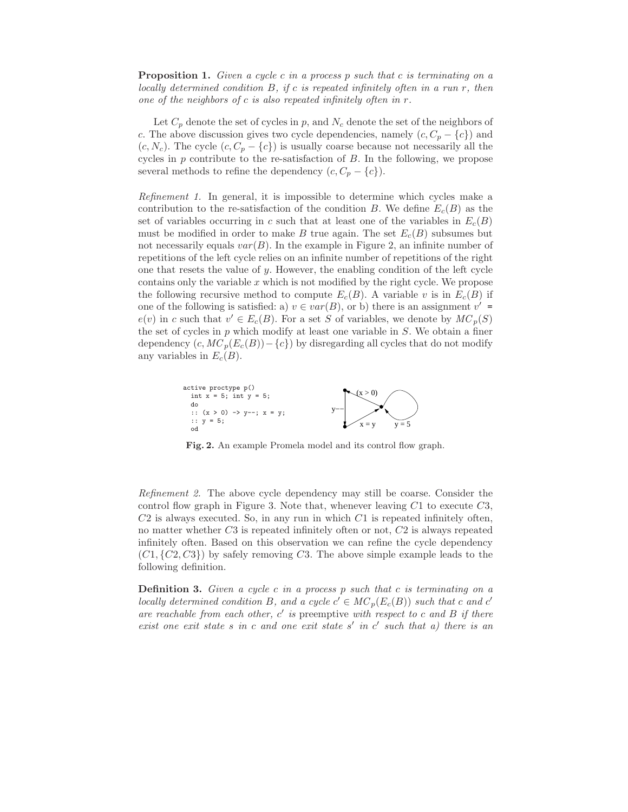**Proposition 1.** Given a cycle c in a process p such that c is terminating on a locally determined condition  $B$ , if c is repeated infinitely often in a run r, then one of the neighbors of c is also repeated infinitely often in r.

Let  $C_p$  denote the set of cycles in p, and  $N_c$  denote the set of the neighbors of c. The above discussion gives two cycle dependencies, namely  $(c, C_p - \{c\})$  and  $(c, N_c)$ . The cycle  $(c, C_p - \{c\})$  is usually coarse because not necessarily all the cycles in  $p$  contribute to the re-satisfaction of  $B$ . In the following, we propose several methods to refine the dependency  $(c, C_p - \{c\})$ .

Refinement 1. In general, it is impossible to determine which cycles make a contribution to the re-satisfaction of the condition B. We define  $E_c(B)$  as the set of variables occurring in c such that at least one of the variables in  $E_c(B)$ must be modified in order to make B true again. The set  $E_c(B)$  subsumes but not necessarily equals  $var(B)$ . In the example in Figure 2, an infinite number of repetitions of the left cycle relies on an infinite number of repetitions of the right one that resets the value of y. However, the enabling condition of the left cycle contains only the variable  $x$  which is not modified by the right cycle. We propose the following recursive method to compute  $E_c(B)$ . A variable v is in  $E_c(B)$  if one of the following is satisfied: a)  $v \in var(B)$ , or b) there is an assignment  $v'$  $e(v)$  in c such that  $v' \in E_c(B)$ . For a set S of variables, we denote by  $MC_p(S)$ the set of cycles in  $p$  which modify at least one variable in  $S$ . We obtain a finer dependency  $(c, MC_p(E_c(B)) - \{c\})$  by disregarding all cycles that do not modify any variables in  $E_c(B)$ .



Fig. 2. An example Promela model and its control flow graph.

Refinement 2. The above cycle dependency may still be coarse. Consider the control flow graph in Figure 3. Note that, whenever leaving  $C1$  to execute  $C3$ ,  $C2$  is always executed. So, in any run in which  $C1$  is repeated infinitely often, no matter whether  $C3$  is repeated infinitely often or not,  $C2$  is always repeated infinitely often. Based on this observation we can refine the cycle dependency  $(C1, \{C2, C3\})$  by safely removing C3. The above simple example leads to the following definition.

**Definition 3.** Given a cycle c in a process p such that c is terminating on a locally determined condition B, and a cycle  $c' \in MC_p(E_c(B))$  such that c and c' are reachable from each other,  $c'$  is preemptive with respect to c and  $B$  if there exist one exit state  $s$  in  $c$  and one exit state  $s'$  in  $c'$  such that a) there is an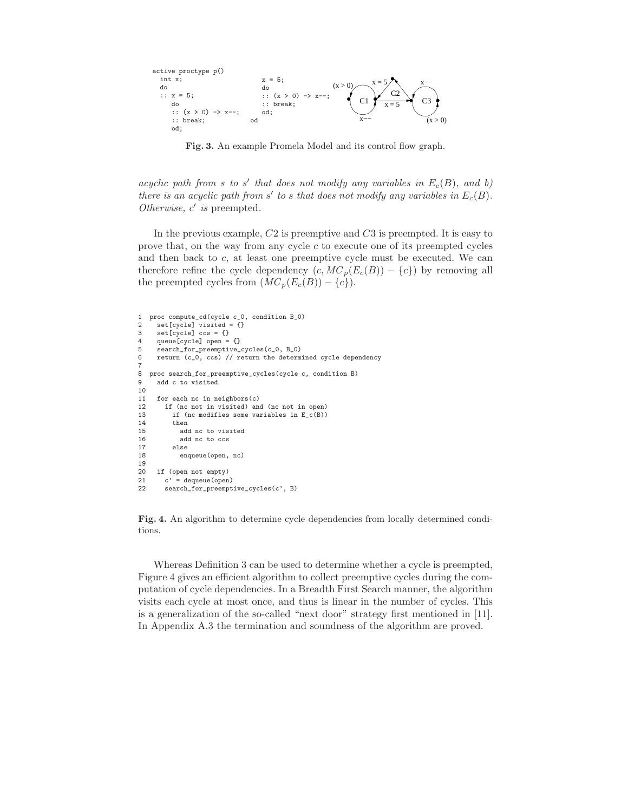

Fig. 3. An example Promela Model and its control flow graph.

acyclic path from s to s' that does not modify any variables in  $E_c(B)$ , and b) there is an acyclic path from s' to s that does not modify any variables in  $E_c(B)$ . Otherwise, c' is preempted.

In the previous example,  $C2$  is preemptive and  $C3$  is preempted. It is easy to prove that, on the way from any cycle  $c$  to execute one of its preempted cycles and then back to c, at least one preemptive cycle must be executed. We can therefore refine the cycle dependency  $(c, MC_p(E_c(B)) - \{c\})$  by removing all the preempted cycles from  $(MC_p(E_c(B)) - \{c\})$ .

```
1 proc compute_cd(cycle c_0, condition B_0)<br>2 set[cycle] visited = {}
2 set[cycle] visited = \{\}<br>3 set[cycle] ccs = \{\}3 set [cycle] ccs = {}<br>4 queue [cycle] open =
4 queue[cycle] open = {}<br>5 search for preemptive
5 search_for_preemptive_cycles(c_0, B_0)<br>6 return (c_0, ccs) // return the determ
      return (c_0, ccs) // return the determined cycle dependency
7
8 proc search_for_preemptive_cycles(cycle c, condition B)
      add c to visited
\begin{array}{c} 10 \\ 11 \end{array}for each nc in neighbors(c)12 if (nc not in visited) and (nc not in open)<br>13 if (nc modifies some variables in E_c(B))
13 if (nc modifies some variables in E_c(E))<br>14 then
           then
15 add nc to visited
16 add nc to ccs
17 else<br>18 eno
              enqueue(open, nc)
19
20 if (open not empty)
21 c' = dequeue(open)
22 search_for_preemptive_cycles(c', B)
```
Fig. 4. An algorithm to determine cycle dependencies from locally determined conditions.

Whereas Definition 3 can be used to determine whether a cycle is preempted, Figure 4 gives an efficient algorithm to collect preemptive cycles during the computation of cycle dependencies. In a Breadth First Search manner, the algorithm visits each cycle at most once, and thus is linear in the number of cycles. This is a generalization of the so-called "next door" strategy first mentioned in [11]. In Appendix A.3 the termination and soundness of the algorithm are proved.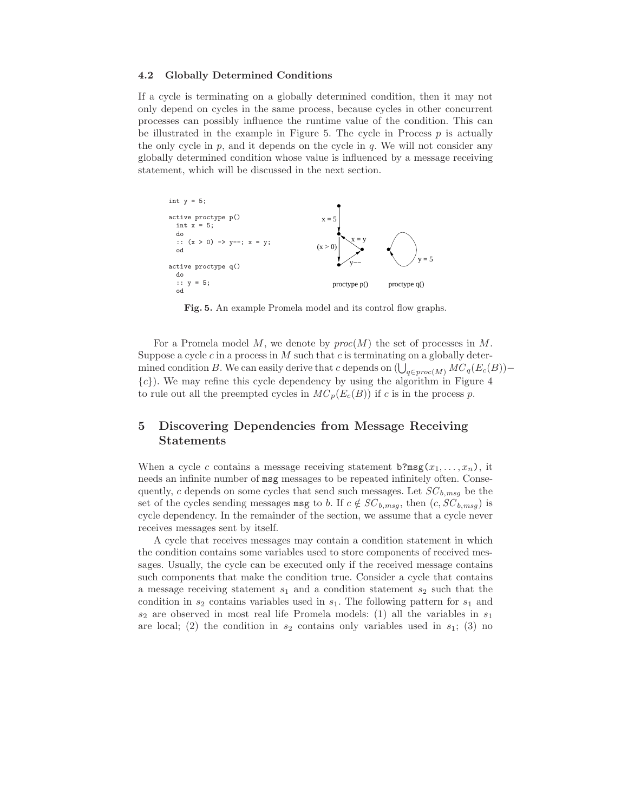#### 4.2 Globally Determined Conditions

If a cycle is terminating on a globally determined condition, then it may not only depend on cycles in the same process, because cycles in other concurrent processes can possibly influence the runtime value of the condition. This can be illustrated in the example in Figure 5. The cycle in Process  $p$  is actually the only cycle in  $p$ , and it depends on the cycle in  $q$ . We will not consider any globally determined condition whose value is influenced by a message receiving statement, which will be discussed in the next section.



Fig. 5. An example Promela model and its control flow graphs.

For a Promela model M, we denote by  $proc(M)$  the set of processes in M. Suppose a cycle  $c$  in a process in  $M$  such that  $c$  is terminating on a globally determined condition B. We can easily derive that c depends on  $(\bigcup_{q\in proc(M)}MC_q(E_c(B)) \{c\}$ ). We may refine this cycle dependency by using the algorithm in Figure 4 to rule out all the preempted cycles in  $MC_p(E_c(B))$  if c is in the process p.

# 5 Discovering Dependencies from Message Receiving Statements

When a cycle c contains a message receiving statement  $\mathbf{b?msg}(x_1, \ldots, x_n)$ , it needs an infinite number of msg messages to be repeated infinitely often. Consequently, c depends on some cycles that send such messages. Let  $SC_{b,msq}$  be the set of the cycles sending messages msg to b. If  $c \notin SC_{b,msq}$ , then  $(c, SC_{b,msq})$  is cycle dependency. In the remainder of the section, we assume that a cycle never receives messages sent by itself.

A cycle that receives messages may contain a condition statement in which the condition contains some variables used to store components of received messages. Usually, the cycle can be executed only if the received message contains such components that make the condition true. Consider a cycle that contains a message receiving statement  $s_1$  and a condition statement  $s_2$  such that the condition in  $s_2$  contains variables used in  $s_1$ . The following pattern for  $s_1$  and  $s_2$  are observed in most real life Promela models: (1) all the variables in  $s_1$ are local; (2) the condition in  $s_2$  contains only variables used in  $s_1$ ; (3) no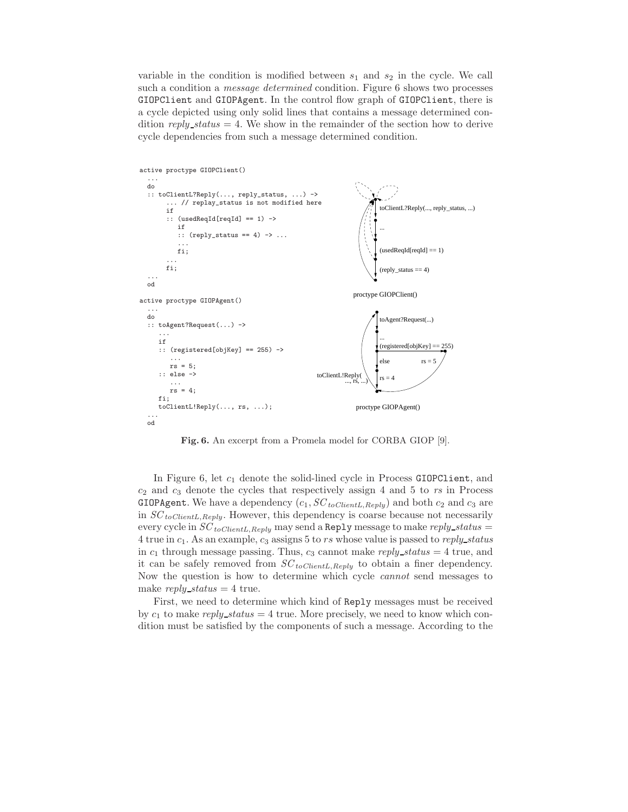variable in the condition is modified between  $s_1$  and  $s_2$  in the cycle. We call such a condition a *message determined* condition. Figure 6 shows two processes GIOPClient and GIOPAgent. In the control flow graph of GIOPClient, there is a cycle depicted using only solid lines that contains a message determined condition reply\_status = 4. We show in the remainder of the section how to derive cycle dependencies from such a message determined condition.



Fig. 6. An excerpt from a Promela model for CORBA GIOP [9].

In Figure 6, let  $c_1$  denote the solid-lined cycle in Process GIOPClient, and  $c_2$  and  $c_3$  denote the cycles that respectively assign 4 and 5 to  $rs$  in Process **GIOPAgent.** We have a dependency  $(c_1, SC_{toClientL,Reply})$  and both  $c_2$  and  $c_3$  are in  $SC_{toClientL,Reply}$ . However, this dependency is coarse because not necessarily every cycle in  $SC_{toClientL,Reply}$  may send a Reply message to make reply\_status = 4 true in  $c_1$ . As an example,  $c_3$  assigns 5 to rs whose value is passed to reply status in  $c_1$  through message passing. Thus,  $c_3$  cannot make reply\_status = 4 true, and it can be safely removed from  $SC_{toClientL,Reply}$  to obtain a finer dependency. Now the question is how to determine which cycle cannot send messages to make  $reply\_status = 4$  true.

First, we need to determine which kind of Reply messages must be received by  $c_1$  to make reply-status = 4 true. More precisely, we need to know which condition must be satisfied by the components of such a message. According to the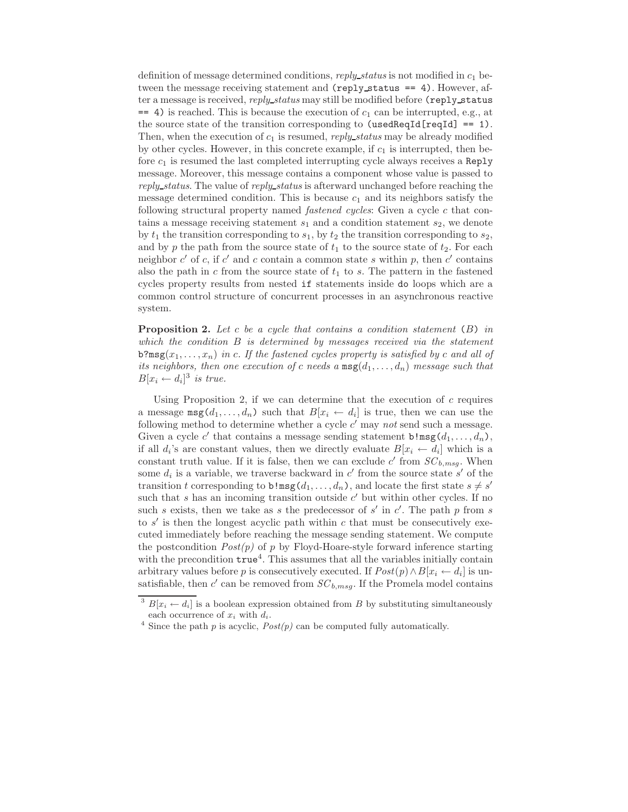definition of message determined conditions,  $reply_{{\bf s}}$  is not modified in  $c_1$  between the message receiving statement and (reply\_status == 4). However, after a message is received, reply\_status may still be modified before (reply\_status  $= 4$ ) is reached. This is because the execution of  $c_1$  can be interrupted, e.g., at the source state of the transition corresponding to (usedReqId[reqId] == 1). Then, when the execution of  $c_1$  is resumed, reply\_status may be already modified by other cycles. However, in this concrete example, if  $c_1$  is interrupted, then before  $c_1$  is resumed the last completed interrupting cycle always receives a Reply message. Moreover, this message contains a component whose value is passed to reply\_status. The value of reply\_status is afterward unchanged before reaching the message determined condition. This is because  $c_1$  and its neighbors satisfy the following structural property named fastened cycles: Given a cycle c that contains a message receiving statement  $s_1$  and a condition statement  $s_2$ , we denote by  $t_1$  the transition corresponding to  $s_1$ , by  $t_2$  the transition corresponding to  $s_2$ , and by p the path from the source state of  $t_1$  to the source state of  $t_2$ . For each neighbor  $c'$  of c, if  $c'$  and c contain a common state s within p, then  $c'$  contains also the path in c from the source state of  $t_1$  to s. The pattern in the fastened cycles property results from nested if statements inside do loops which are a common control structure of concurrent processes in an asynchronous reactive system.

**Proposition 2.** Let c be a cycle that contains a condition statement  $(B)$  in which the condition B is determined by messages received via the statement  $\mathbf{b?msg}(x_1,\ldots,x_n)$  in c. If the fastened cycles property is satisfied by c and all of its neighbors, then one execution of c needs a  $\text{msg}(d_1,\ldots,d_n)$  message such that  $B[x_i \leftarrow d_i]^3$  is true.

Using Proposition 2, if we can determine that the execution of  $c$  requires a message  $\text{msg}(d_1,\ldots,d_n)$  such that  $B[x_i \leftarrow d_i]$  is true, then we can use the following method to determine whether a cycle  $c'$  may not send such a message. Given a cycle c' that contains a message sending statement  $\mathbf{b}! \mathbf{msg}(d_1,\ldots,d_n)$ , if all  $d_i$ 's are constant values, then we directly evaluate  $B[x_i \leftarrow d_i]$  which is a constant truth value. If it is false, then we can exclude c' from  $SC_{b,msg}$ . When some  $d_i$  is a variable, we traverse backward in  $c'$  from the source state  $s'$  of the transition t corresponding to  $\mathbf{b}! \mathbf{msg}(d_1,\ldots,d_n)$ , and locate the first state  $s \neq s'$ such that  $s$  has an incoming transition outside  $c'$  but within other cycles. If no such s exists, then we take as s the predecessor of  $s'$  in  $c'$ . The path p from s to  $s'$  is then the longest acyclic path within  $c$  that must be consecutively executed immediately before reaching the message sending statement. We compute the postcondition  $Post(p)$  of p by Floyd-Hoare-style forward inference starting with the precondition  $true^4$ . This assumes that all the variables initially contain arbitrary values before p is consecutively executed. If  $Post(p) \wedge B[x_i \leftarrow d_i]$  is unsatisfiable, then c' can be removed from  $SC_{b,msg}$ . If the Promela model contains

<sup>&</sup>lt;sup>3</sup>  $B[x_i \leftarrow d_i]$  is a boolean expression obtained from B by substituting simultaneously each occurrence of  $x_i$  with  $d_i$ .

 $4$  Since the path  $p$  is acyclic,  $Post(p)$  can be computed fully automatically.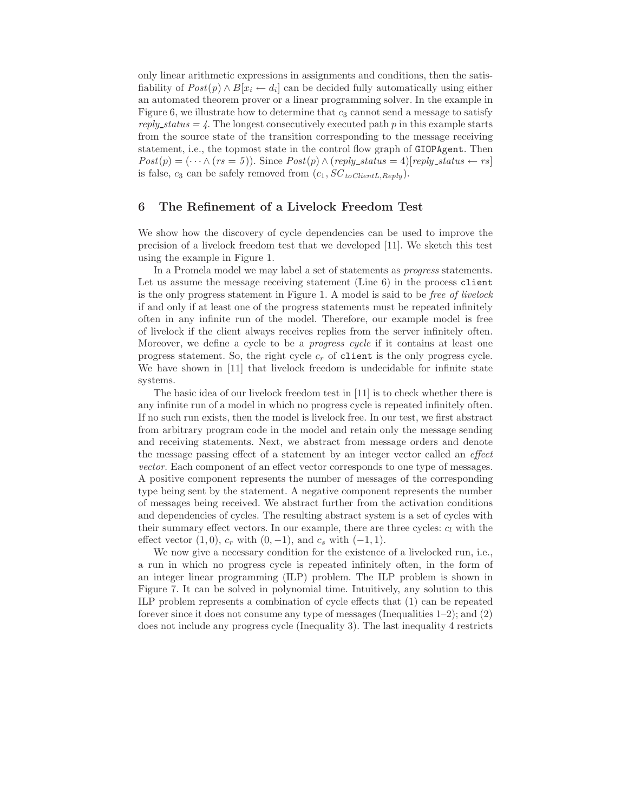only linear arithmetic expressions in assignments and conditions, then the satisfiability of  $Post(p) \wedge B[x_i \leftarrow d_i]$  can be decided fully automatically using either an automated theorem prover or a linear programming solver. In the example in Figure 6, we illustrate how to determine that  $c_3$  cannot send a message to satisfy reply\_status =  $\angle$ . The longest consecutively executed path p in this example starts from the source state of the transition corresponding to the message receiving statement, i.e., the topmost state in the control flow graph of GIOPAgent. Then  $Post(p) = (\cdots \wedge (rs = 5))$ . Since  $Post(p) \wedge (reply\_status = 4)$ [reply\_status  $\leftarrow rs$ ] is false,  $c_3$  can be safely removed from  $(c_1, SC_{toClientL,Reply})$ .

#### 6 The Refinement of a Livelock Freedom Test

We show how the discovery of cycle dependencies can be used to improve the precision of a livelock freedom test that we developed [11]. We sketch this test using the example in Figure 1.

In a Promela model we may label a set of statements as *progress* statements. Let us assume the message receiving statement (Line 6) in the process client is the only progress statement in Figure 1. A model is said to be free of livelock if and only if at least one of the progress statements must be repeated infinitely often in any infinite run of the model. Therefore, our example model is free of livelock if the client always receives replies from the server infinitely often. Moreover, we define a cycle to be a progress cycle if it contains at least one progress statement. So, the right cycle  $c_r$  of client is the only progress cycle. We have shown in [11] that livelock freedom is undecidable for infinite state systems.

The basic idea of our livelock freedom test in [11] is to check whether there is any infinite run of a model in which no progress cycle is repeated infinitely often. If no such run exists, then the model is livelock free. In our test, we first abstract from arbitrary program code in the model and retain only the message sending and receiving statements. Next, we abstract from message orders and denote the message passing effect of a statement by an integer vector called an effect vector. Each component of an effect vector corresponds to one type of messages. A positive component represents the number of messages of the corresponding type being sent by the statement. A negative component represents the number of messages being received. We abstract further from the activation conditions and dependencies of cycles. The resulting abstract system is a set of cycles with their summary effect vectors. In our example, there are three cycles:  $c_l$  with the effect vector  $(1, 0)$ ,  $c_r$  with  $(0, -1)$ , and  $c_s$  with  $(-1, 1)$ .

We now give a necessary condition for the existence of a livelocked run, i.e., a run in which no progress cycle is repeated infinitely often, in the form of an integer linear programming (ILP) problem. The ILP problem is shown in Figure 7. It can be solved in polynomial time. Intuitively, any solution to this ILP problem represents a combination of cycle effects that (1) can be repeated forever since it does not consume any type of messages (Inequalities  $1-2$ ); and  $(2)$ does not include any progress cycle (Inequality 3). The last inequality 4 restricts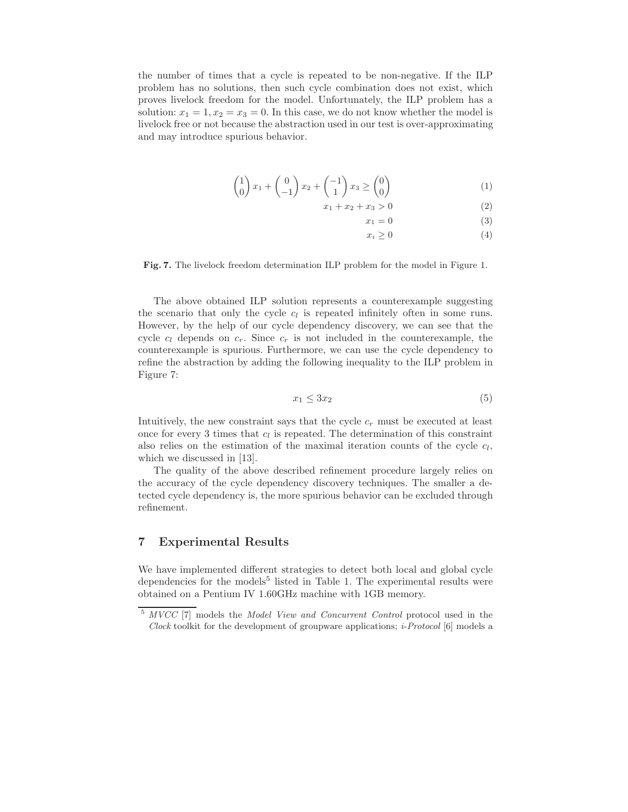the number of times that a cycle is repeated to be non-negative. If the ILP problem has no solutions, then such cycle combination does not exist, which proves livelock freedom for the model. Unfortunately, the ILP problem has a solution:  $x_1 = 1, x_2 = x_3 = 0$ . In this case, we do not know whether the model is livelock free or not because the abstraction used in our test is over-approximating and may introduce spurious behavior.

$$
\begin{pmatrix} 1 \\ 0 \end{pmatrix} x_1 + \begin{pmatrix} 0 \\ -1 \end{pmatrix} x_2 + \begin{pmatrix} -1 \\ 1 \end{pmatrix} x_3 \ge \begin{pmatrix} 0 \\ 0 \end{pmatrix} \tag{1}
$$

$$
x_1 + x_2 + x_3 > 0 \tag{2}
$$

$$
x_1 = 0 \tag{3}
$$

$$
x_i \ge 0 \tag{4}
$$

Fig. 7. The livelock freedom determination ILP problem for the model in Figure 1.

The above obtained ILP solution represents a counterexample suggesting the scenario that only the cycle  $c_l$  is repeated infinitely often in some runs. However, by the help of our cycle dependency discovery, we can see that the cycle  $c_l$  depends on  $c_r$ . Since  $c_r$  is not included in the counterexample, the counterexample is spurious. Furthermore, we can use the cycle dependency to refine the abstraction by adding the following inequality to the ILP problem in Figure 7:

$$
x_1 \le 3x_2 \tag{5}
$$

Intuitively, the new constraint says that the cycle  $c_r$  must be executed at least once for every 3 times that  $c_l$  is repeated. The determination of this constraint also relies on the estimation of the maximal iteration counts of the cycle  $c_l$ , which we discussed in [13].

The quality of the above described refinement procedure largely relies on the accuracy of the cycle dependency discovery techniques. The smaller a detected cycle dependency is, the more spurious behavior can be excluded through refinement.

## 7 Experimental Results

We have implemented different strategies to detect both local and global cycle dependencies for the models<sup>5</sup> listed in Table 1. The experimental results were obtained on a Pentium IV 1.60GHz machine with 1GB memory.

<sup>&</sup>lt;sup>5</sup> MVCC [7] models the Model View and Concurrent Control protocol used in the Clock toolkit for the development of groupware applications;  $i$ -Protocol [6] models a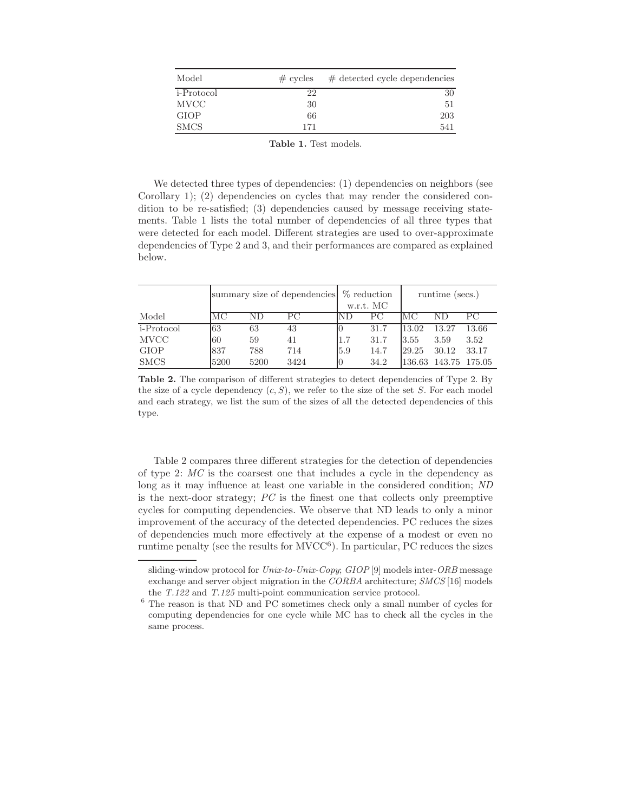| Model       | $\#$ cycles | $\#$ detected cycle dependencies |
|-------------|-------------|----------------------------------|
| i-Protocol  | 22          | 30                               |
| <b>MVCC</b> | 30          | 51                               |
| <b>GIOP</b> | 66          | 203                              |
| <b>SMCS</b> | 171         | 541                              |
|             |             |                                  |

Table 1. Test models.

We detected three types of dependencies: (1) dependencies on neighbors (see Corollary 1); (2) dependencies on cycles that may render the considered condition to be re-satisfied; (3) dependencies caused by message receiving statements. Table 1 lists the total number of dependencies of all three types that were detected for each model. Different strategies are used to over-approximate dependencies of Type 2 and 3, and their performances are compared as explained below.

|                    | summary size of dependencies \%\, \%\, reduction |      | w.r.t. MC |     | runtime (secs.) |        |               |       |
|--------------------|--------------------------------------------------|------|-----------|-----|-----------------|--------|---------------|-------|
| Model              | МC                                               | ND   | PC.       | ND  | РC              | МC     | ND            | РC    |
| <i>i</i> -Protocol | 63                                               | 63   | 43        |     | 31.7            | 13.02  | 13.27         | 13.66 |
| <b>MVCC</b>        | 60                                               | 59   | 41        | 1.7 | 31.7            | 3.55   | 3.59          | 3.52  |
| <b>GIOP</b>        | 837                                              | 788  | 714       | 5.9 | 14.7            | 29.25  | 30.12         | 33.17 |
| <b>SMCS</b>        | 5200                                             | 5200 | 3424      | Ю   | 34.2            | 136.63 | 143.75 175.05 |       |

Table 2. The comparison of different strategies to detect dependencies of Type 2. By the size of a cycle dependency  $(c, S)$ , we refer to the size of the set S. For each model and each strategy, we list the sum of the sizes of all the detected dependencies of this type.

Table 2 compares three different strategies for the detection of dependencies of type 2: MC is the coarsest one that includes a cycle in the dependency as long as it may influence at least one variable in the considered condition; ND is the next-door strategy; PC is the finest one that collects only preemptive cycles for computing dependencies. We observe that ND leads to only a minor improvement of the accuracy of the detected dependencies. PC reduces the sizes of dependencies much more effectively at the expense of a modest or even no runtime penalty (see the results for MVCC<sup>6</sup>). In particular, PC reduces the sizes

sliding-window protocol for Unix-to-Unix-Copy; GIOP [9] models inter-ORB message exchange and server object migration in the CORBA architecture; SMCS [16] models the T.122 and T.125 multi-point communication service protocol.

 $6$  The reason is that ND and PC sometimes check only a small number of cycles for computing dependencies for one cycle while MC has to check all the cycles in the same process.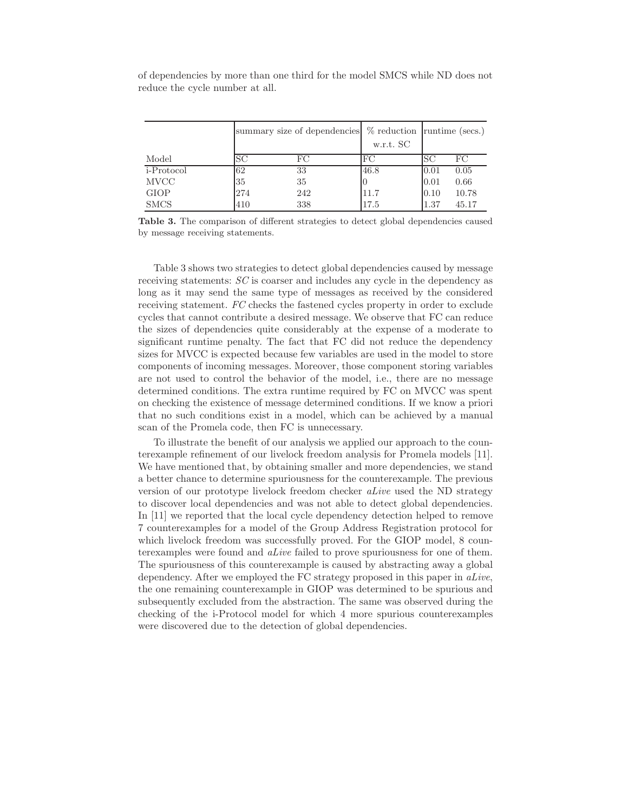of dependencies by more than one third for the model SMCS while ND does not reduce the cycle number at all.

|                    | summary size of dependencies |     |           | $%$ reduction $ $ runtime (secs.) |       |
|--------------------|------------------------------|-----|-----------|-----------------------------------|-------|
|                    |                              |     | w.r.t. SC |                                   |       |
| Model              | SС                           | FC  | FC        | SC                                | FС    |
| <i>i</i> -Protocol | 62                           | 33  | 46.8      | 0.01                              | 0.05  |
| <b>MVCC</b>        | 35                           | 35  |           | 0.01                              | 0.66  |
| <b>GIOP</b>        | 274                          | 242 | 11.7      | 0.10                              | 10.78 |
| <b>SMCS</b>        | 410                          | 338 | 17.5      | 1.37                              | 45.17 |

Table 3. The comparison of different strategies to detect global dependencies caused by message receiving statements.

Table 3 shows two strategies to detect global dependencies caused by message receiving statements: SC is coarser and includes any cycle in the dependency as long as it may send the same type of messages as received by the considered receiving statement. FC checks the fastened cycles property in order to exclude cycles that cannot contribute a desired message. We observe that FC can reduce the sizes of dependencies quite considerably at the expense of a moderate to significant runtime penalty. The fact that FC did not reduce the dependency sizes for MVCC is expected because few variables are used in the model to store components of incoming messages. Moreover, those component storing variables are not used to control the behavior of the model, i.e., there are no message determined conditions. The extra runtime required by FC on MVCC was spent on checking the existence of message determined conditions. If we know a priori that no such conditions exist in a model, which can be achieved by a manual scan of the Promela code, then FC is unnecessary.

To illustrate the benefit of our analysis we applied our approach to the counterexample refinement of our livelock freedom analysis for Promela models [11]. We have mentioned that, by obtaining smaller and more dependencies, we stand a better chance to determine spuriousness for the counterexample. The previous version of our prototype livelock freedom checker aLive used the ND strategy to discover local dependencies and was not able to detect global dependencies. In [11] we reported that the local cycle dependency detection helped to remove 7 counterexamples for a model of the Group Address Registration protocol for which livelock freedom was successfully proved. For the GIOP model, 8 counterexamples were found and aLive failed to prove spuriousness for one of them. The spuriousness of this counterexample is caused by abstracting away a global dependency. After we employed the FC strategy proposed in this paper in aLive, the one remaining counterexample in GIOP was determined to be spurious and subsequently excluded from the abstraction. The same was observed during the checking of the i-Protocol model for which 4 more spurious counterexamples were discovered due to the detection of global dependencies.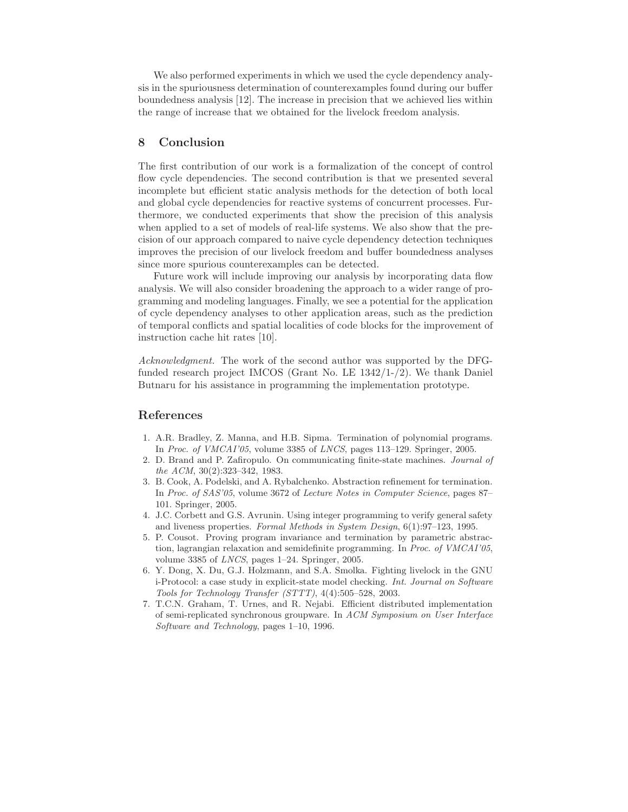We also performed experiments in which we used the cycle dependency analysis in the spuriousness determination of counterexamples found during our buffer boundedness analysis [12]. The increase in precision that we achieved lies within the range of increase that we obtained for the livelock freedom analysis.

#### 8 Conclusion

The first contribution of our work is a formalization of the concept of control flow cycle dependencies. The second contribution is that we presented several incomplete but efficient static analysis methods for the detection of both local and global cycle dependencies for reactive systems of concurrent processes. Furthermore, we conducted experiments that show the precision of this analysis when applied to a set of models of real-life systems. We also show that the precision of our approach compared to naive cycle dependency detection techniques improves the precision of our livelock freedom and buffer boundedness analyses since more spurious counterexamples can be detected.

Future work will include improving our analysis by incorporating data flow analysis. We will also consider broadening the approach to a wider range of programming and modeling languages. Finally, we see a potential for the application of cycle dependency analyses to other application areas, such as the prediction of temporal conflicts and spatial localities of code blocks for the improvement of instruction cache hit rates [10].

Acknowledgment. The work of the second author was supported by the DFGfunded research project IMCOS (Grant No. LE 1342/1-/2). We thank Daniel Butnaru for his assistance in programming the implementation prototype.

#### References

- 1. A.R. Bradley, Z. Manna, and H.B. Sipma. Termination of polynomial programs. In Proc. of VMCAI'05, volume 3385 of LNCS, pages 113–129. Springer, 2005.
- 2. D. Brand and P. Zafiropulo. On communicating finite-state machines. Journal of the ACM, 30(2):323–342, 1983.
- 3. B. Cook, A. Podelski, and A. Rybalchenko. Abstraction refinement for termination. In Proc. of SAS'05, volume 3672 of Lecture Notes in Computer Science, pages 87– 101. Springer, 2005.
- 4. J.C. Corbett and G.S. Avrunin. Using integer programming to verify general safety and liveness properties. Formal Methods in System Design, 6(1):97–123, 1995.
- 5. P. Cousot. Proving program invariance and termination by parametric abstraction, lagrangian relaxation and semidefinite programming. In Proc. of VMCAI'05, volume 3385 of LNCS, pages 1–24. Springer, 2005.
- 6. Y. Dong, X. Du, G.J. Holzmann, and S.A. Smolka. Fighting livelock in the GNU i-Protocol: a case study in explicit-state model checking. Int. Journal on Software Tools for Technology Transfer (STTT), 4(4):505–528, 2003.
- 7. T.C.N. Graham, T. Urnes, and R. Nejabi. Efficient distributed implementation of semi-replicated synchronous groupware. In ACM Symposium on User Interface Software and Technology, pages 1–10, 1996.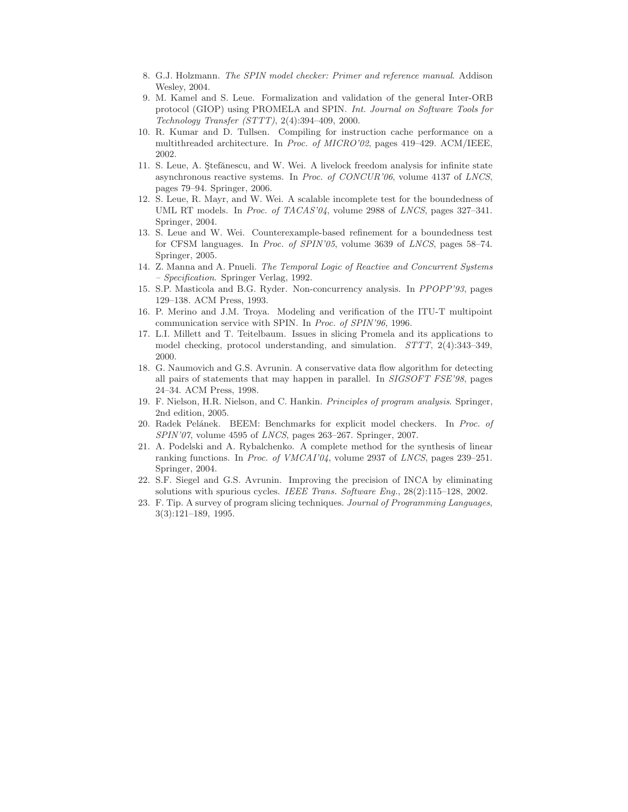- 8. G.J. Holzmann. The SPIN model checker: Primer and reference manual. Addison Wesley, 2004.
- 9. M. Kamel and S. Leue. Formalization and validation of the general Inter-ORB protocol (GIOP) using PROMELA and SPIN. Int. Journal on Software Tools for Technology Transfer (STTT), 2(4):394–409, 2000.
- 10. R. Kumar and D. Tullsen. Compiling for instruction cache performance on a multithreaded architecture. In Proc. of MICRO'02, pages 419–429. ACM/IEEE, 2002.
- 11. S. Leue, A. Stefănescu, and W. Wei. A livelock freedom analysis for infinite state asynchronous reactive systems. In Proc. of CONCUR'06, volume 4137 of LNCS, pages 79–94. Springer, 2006.
- 12. S. Leue, R. Mayr, and W. Wei. A scalable incomplete test for the boundedness of UML RT models. In Proc. of TACAS'04, volume 2988 of LNCS, pages 327–341. Springer, 2004.
- 13. S. Leue and W. Wei. Counterexample-based refinement for a boundedness test for CFSM languages. In Proc. of SPIN'05, volume 3639 of LNCS, pages 58–74. Springer, 2005.
- 14. Z. Manna and A. Pnueli. The Temporal Logic of Reactive and Concurrent Systems – Specification. Springer Verlag, 1992.
- 15. S.P. Masticola and B.G. Ryder. Non-concurrency analysis. In PPOPP'93, pages 129–138. ACM Press, 1993.
- 16. P. Merino and J.M. Troya. Modeling and verification of the ITU-T multipoint communication service with SPIN. In Proc. of SPIN'96, 1996.
- 17. L.I. Millett and T. Teitelbaum. Issues in slicing Promela and its applications to model checking, protocol understanding, and simulation. STTT, 2(4):343–349, 2000.
- 18. G. Naumovich and G.S. Avrunin. A conservative data flow algorithm for detecting all pairs of statements that may happen in parallel. In SIGSOFT FSE'98, pages 24–34. ACM Press, 1998.
- 19. F. Nielson, H.R. Nielson, and C. Hankin. Principles of program analysis. Springer, 2nd edition, 2005.
- 20. Radek Pelánek. BEEM: Benchmarks for explicit model checkers. In Proc. of  $SPIN'07$ , volume 4595 of *LNCS*, pages 263–267. Springer, 2007.
- 21. A. Podelski and A. Rybalchenko. A complete method for the synthesis of linear ranking functions. In Proc. of VMCAI'04, volume 2937 of LNCS, pages 239–251. Springer, 2004.
- 22. S.F. Siegel and G.S. Avrunin. Improving the precision of INCA by eliminating solutions with spurious cycles. IEEE Trans. Software Eng., 28(2):115–128, 2002.
- 23. F. Tip. A survey of program slicing techniques. Journal of Programming Languages, 3(3):121–189, 1995.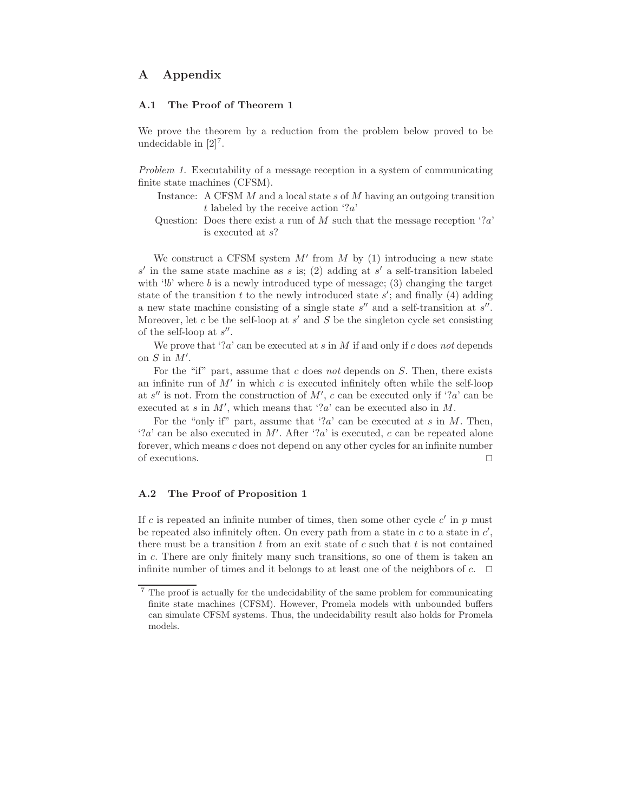## A Appendix

#### A.1 The Proof of Theorem 1

We prove the theorem by a reduction from the problem below proved to be undecidable in  $[2]^7$ .

Problem 1. Executability of a message reception in a system of communicating finite state machines (CFSM).

- Instance: A CFSM M and a local state s of M having an outgoing transition t labeled by the receive action  $2a$
- Question: Does there exist a run of M such that the message reception  $2a$ is executed at s?

We construct a CFSM system  $M'$  from  $M$  by  $(1)$  introducing a new state  $s'$  in the same state machine as s is; (2) adding at  $s'$  a self-transition labeled with  $\mathcal{B}'$  where b is a newly introduced type of message; (3) changing the target state of the transition t to the newly introduced state  $s'$ ; and finally (4) adding a new state machine consisting of a single state  $s''$  and a self-transition at  $s''$ . Moreover, let c be the self-loop at  $s'$  and  $S$  be the singleton cycle set consisting of the self-loop at  $s''$ .

We prove that '?a' can be executed at s in M if and only if c does not depends on  $S$  in  $M'$ .

For the "if" part, assume that  $c$  does not depends on  $S$ . Then, there exists an infinite run of  $M'$  in which  $c$  is executed infinitely often while the self-loop at  $s''$  is not. From the construction of  $M'$ , c can be executed only if '?a' can be executed at s in  $M'$ , which means that '?a' can be executed also in M.

For the "only if" part, assume that '?a' can be executed at s in  $M$ . Then, '?a' can be also executed in  $M'$ . After '?a' is executed, c can be repeated alone forever, which means c does not depend on any other cycles for an infinite number of executions. ⊓⊔

#### A.2 The Proof of Proposition 1

If c is repeated an infinite number of times, then some other cycle  $c'$  in  $p$  must be repeated also infinitely often. On every path from a state in  $c$  to a state in  $c'$ , there must be a transition  $t$  from an exit state of  $c$  such that  $t$  is not contained in c. There are only finitely many such transitions, so one of them is taken an infinite number of times and it belongs to at least one of the neighbors of c.  $\Box$ 

<sup>7</sup> The proof is actually for the undecidability of the same problem for communicating finite state machines (CFSM). However, Promela models with unbounded buffers can simulate CFSM systems. Thus, the undecidability result also holds for Promela models.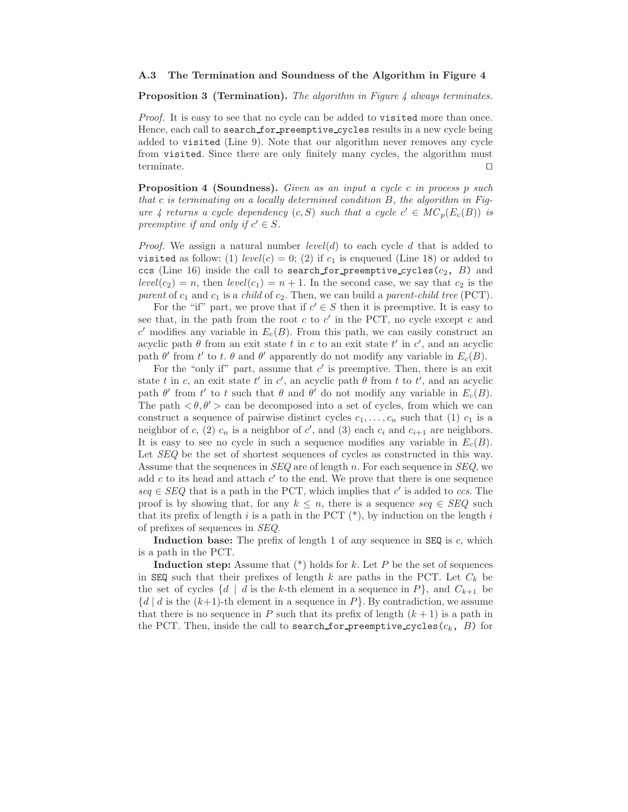#### A.3 The Termination and Soundness of the Algorithm in Figure 4

Proposition 3 (Termination). The algorithm in Figure 4 always terminates.

Proof. It is easy to see that no cycle can be added to visited more than once. Hence, each call to search for preemptive cycles results in a new cycle being added to visited (Line 9). Note that our algorithm never removes any cycle from visited. Since there are only finitely many cycles, the algorithm must terminate. ⊓⊔

**Proposition 4 (Soundness).** Given as an input a cycle c in process p such that c is terminating on a locally determined condition B, the algorithm in Figure 4 returns a cycle dependency  $(c, S)$  such that a cycle  $c' \in MC_p(E_c(B))$  is preemptive if and only if  $c' \in S$ .

*Proof.* We assign a natural number  $level(d)$  to each cycle d that is added to visited as follow: (1)  $level(c) = 0$ ; (2) if  $c_1$  is enqueued (Line 18) or added to ccs (Line 16) inside the call to search for preemptive cycles  $(c_2, B)$  and  $level(c_2) = n$ , then  $level(c_1) = n + 1$ . In the second case, we say that  $c_2$  is the parent of  $c_1$  and  $c_1$  is a child of  $c_2$ . Then, we can build a parent-child tree (PCT).

For the "if" part, we prove that if  $c' \in S$  then it is preemptive. It is easy to see that, in the path from the root  $c$  to  $c'$  in the PCT, no cycle except  $c$  and  $c'$  modifies any variable in  $E_c(B)$ . From this path, we can easily construct an acyclic path  $\theta$  from an exit state t in c to an exit state t' in c', and an acyclic path  $\theta'$  from t' to t.  $\theta$  and  $\theta'$  apparently do not modify any variable in  $E_c(B)$ .

For the "only if" part, assume that  $c'$  is preemptive. Then, there is an exit state t in c, an exit state t' in c', an acyclic path  $\theta$  from t to t', and an acyclic path  $\theta'$  from  $t'$  to t such that  $\theta$  and  $\theta'$  do not modify any variable in  $E_c(B)$ . The path  $\langle \theta, \theta' \rangle$  can be decomposed into a set of cycles, from which we can construct a sequence of pairwise distinct cycles  $c_1, \ldots, c_n$  such that (1)  $c_1$  is a neighbor of c, (2)  $c_n$  is a neighbor of c', and (3) each  $c_i$  and  $c_{i+1}$  are neighbors. It is easy to see no cycle in such a sequence modifies any variable in  $E_c(B)$ . Let SEQ be the set of shortest sequences of cycles as constructed in this way. Assume that the sequences in  $SEQ$  are of length n. For each sequence in  $SEQ$ , we add  $c$  to its head and attach  $c'$  to the end. We prove that there is one sequence  $seq \in SEQ$  that is a path in the PCT, which implies that c' is added to ccs. The proof is by showing that, for any  $k \leq n$ , there is a sequence  $seq \in SEQ$  such that its prefix of length i is a path in the PCT  $(*)$ , by induction on the length i of prefixes of sequences in SEQ.

Induction base: The prefix of length 1 of any sequence in  $SEQ$  is c, which is a path in the PCT.

Induction step: Assume that  $(*)$  holds for k. Let P be the set of sequences in SEQ such that their prefixes of length k are paths in the PCT. Let  $C_k$  be the set of cycles  $\{d \mid d \text{ is the } k\text{-th element in a sequence in } P\}$ , and  $C_{k+1}$  be  ${d | d$  is the  $(k+1)$ -th element in a sequence in  $P$ . By contradiction, we assume that there is no sequence in P such that its prefix of length  $(k + 1)$  is a path in the PCT. Then, inside the call to search for preemptive cycles  $(c_k, B)$  for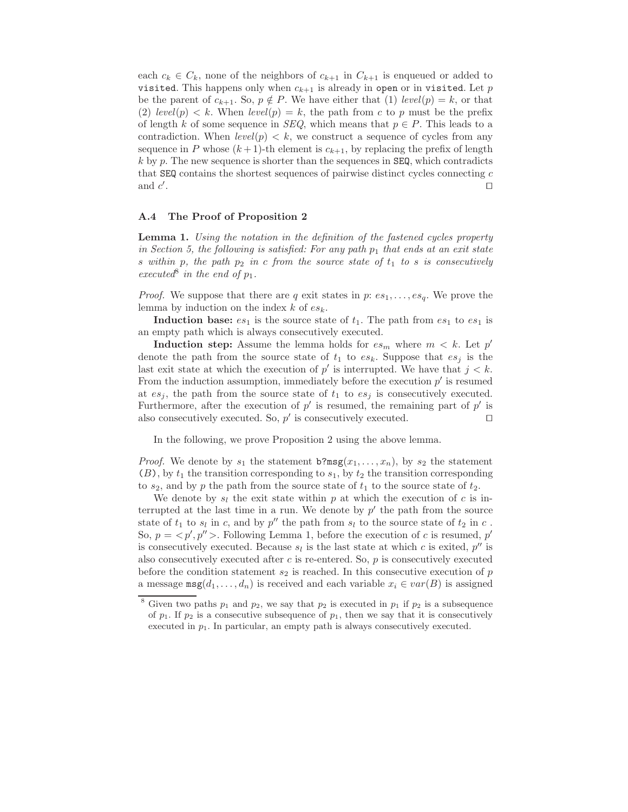each  $c_k \in C_k$ , none of the neighbors of  $c_{k+1}$  in  $C_{k+1}$  is enqueued or added to visited. This happens only when  $c_{k+1}$  is already in open or in visited. Let p be the parent of  $c_{k+1}$ . So,  $p \notin P$ . We have either that (1) level(p) = k, or that (2)  $level(p) < k$ . When  $level(p) = k$ , the path from c to p must be the prefix of length k of some sequence in SEQ, which means that  $p \in P$ . This leads to a contradiction. When  $level(p) < k$ , we construct a sequence of cycles from any sequence in P whose  $(k+1)$ -th element is  $c_{k+1}$ , by replacing the prefix of length  $k$  by p. The new sequence is shorter than the sequences in  $SEQ$ , which contradicts that  $SEQ$  contains the shortest sequences of pairwise distinct cycles connecting  $c$ and  $c'$ . ⊓⊔

#### A.4 The Proof of Proposition 2

**Lemma 1.** Using the notation in the definition of the fastened cycles property in Section 5, the following is satisfied: For any path  $p_1$  that ends at an exit state s within p, the path  $p_2$  in c from the source state of  $t_1$  to s is consecutively executed<sup>8</sup> in the end of  $p_1$ .

*Proof.* We suppose that there are q exit states in  $p: es_1, \ldots, es_q$ . We prove the lemma by induction on the index  $k$  of  $es_k$ .

**Induction base:**  $es_1$  is the source state of  $t_1$ . The path from  $es_1$  to  $es_1$  is an empty path which is always consecutively executed.

**Induction step:** Assume the lemma holds for  $es_m$  where  $m < k$ . Let  $p'$ denote the path from the source state of  $t_1$  to  $es_k$ . Suppose that  $es_i$  is the last exit state at which the execution of  $p'$  is interrupted. We have that  $j < k$ . From the induction assumption, immediately before the execution  $p'$  is resumed at  $es_j$ , the path from the source state of  $t_1$  to  $es_j$  is consecutively executed. Furthermore, after the execution of  $p'$  is resumed, the remaining part of  $p'$  is also consecutively executed. So,  $p'$  is consecutively executed.  $\Box$ 

In the following, we prove Proposition 2 using the above lemma.

*Proof.* We denote by  $s_1$  the statement  $\mathbf{b?msg}(x_1, \ldots, x_n)$ , by  $s_2$  the statement  $(B)$ , by  $t_1$  the transition corresponding to  $s_1$ , by  $t_2$  the transition corresponding to  $s_2$ , and by p the path from the source state of  $t_1$  to the source state of  $t_2$ .

We denote by  $s_l$  the exit state within p at which the execution of c is interrupted at the last time in a run. We denote by  $p'$  the path from the source state of  $t_1$  to  $s_l$  in c, and by  $p''$  the path from  $s_l$  to the source state of  $t_2$  in c. So,  $p = \langle p', p'' \rangle$ . Following Lemma 1, before the execution of c is resumed, p' is consecutively executed. Because  $s_l$  is the last state at which c is exited,  $p''$  is also consecutively executed after c is re-entered. So,  $p$  is consecutively executed before the condition statement  $s_2$  is reached. In this consecutive execution of  $p$ a message  $\text{msg}(d_1,\ldots,d_n)$  is received and each variable  $x_i \in var(B)$  is assigned

<sup>&</sup>lt;sup>8</sup> Given two paths  $p_1$  and  $p_2$ , we say that  $p_2$  is executed in  $p_1$  if  $p_2$  is a subsequence of  $p_1$ . If  $p_2$  is a consecutive subsequence of  $p_1$ , then we say that it is consecutively executed in  $p_1$ . In particular, an empty path is always consecutively executed.